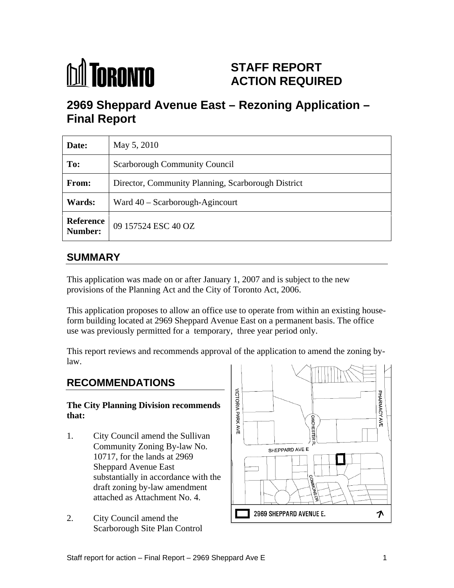

# **STAFF REPORT ACTION REQUIRED**

# **2969 Sheppard Avenue East – Rezoning Application – Final Report**

| Date:         | May 5, 2010                                              |
|---------------|----------------------------------------------------------|
| To:           | Scarborough Community Council                            |
| From:         | Director, Community Planning, Scarborough District       |
| <b>Wards:</b> | $\boxed{\text{ Ward }40 - \text{Scarborough-Agincourt}}$ |
|               | <b>Reference</b> 09 157524 ESC 40 OZ                     |

# **SUMMARY**

This application was made on or after January 1, 2007 and is subject to the new provisions of the Planning Act and the City of Toronto Act, 2006.

This application proposes to allow an office use to operate from within an existing houseform building located at 2969 Sheppard Avenue East on a permanent basis. The office use was previously permitted for a temporary, three year period only.

This report reviews and recommends approval of the application to amend the zoning bylaw. <u>The contract of the contract of the contract of the contract of the contract of the contract of the contract of the contract of the contract of the contract of the contract of the contract of the contract of the cont</u>

- 10717, for the lands at 2969 Sheppard Avenue East substantially in accordance with the draft zoning by-law amendment
- Scarborough Site Plan Control

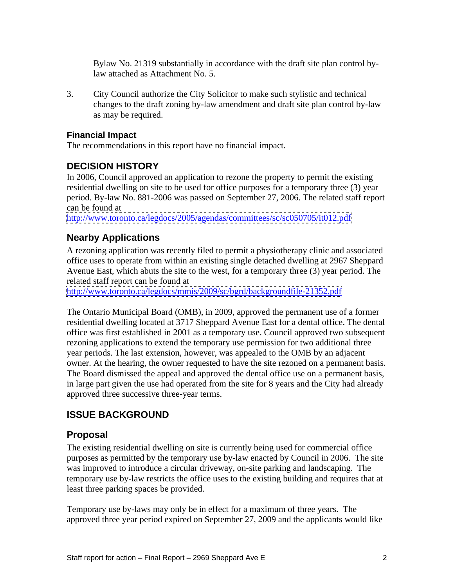Bylaw No. 21319 substantially in accordance with the draft site plan control bylaw attached as Attachment No. 5.

3. City Council authorize the City Solicitor to make such stylistic and technical changes to the draft zoning by-law amendment and draft site plan control by-law as may be required.

#### **Financial Impact**

The recommendations in this report have no financial impact.

#### **DECISION HISTORY**

In 2006, Council approved an application to rezone the property to permit the existing residential dwelling on site to be used for office purposes for a temporary three (3) year period. By-law No. 881-2006 was passed on September 27, 2006. The related staff report can be found at

<http://www.toronto.ca/legdocs/2005/agendas/committees/sc/sc050705/it012.pdf>

#### **Nearby Applications**

A rezoning application was recently filed to permit a physiotherapy clinic and associated office uses to operate from within an existing single detached dwelling at 2967 Sheppard Avenue East, which abuts the site to the west, for a temporary three (3) year period. The related staff report can be found at

<http://www.toronto.ca/legdocs/mmis/2009/sc/bgrd/backgroundfile-21352.pdf>

The Ontario Municipal Board (OMB), in 2009, approved the permanent use of a former residential dwelling located at 3717 Sheppard Avenue East for a dental office. The dental office was first established in 2001 as a temporary use. Council approved two subsequent rezoning applications to extend the temporary use permission for two additional three year periods. The last extension, however, was appealed to the OMB by an adjacent owner. At the hearing, the owner requested to have the site rezoned on a permanent basis. The Board dismissed the appeal and approved the dental office use on a permanent basis, in large part given the use had operated from the site for 8 years and the City had already approved three successive three-year terms.

#### **ISSUE BACKGROUND**

#### **Proposal**

The existing residential dwelling on site is currently being used for commercial office purposes as permitted by the temporary use by-law enacted by Council in 2006. The site was improved to introduce a circular driveway, on-site parking and landscaping. The temporary use by-law restricts the office uses to the existing building and requires that at least three parking spaces be provided.

Temporary use by-laws may only be in effect for a maximum of three years. The approved three year period expired on September 27, 2009 and the applicants would like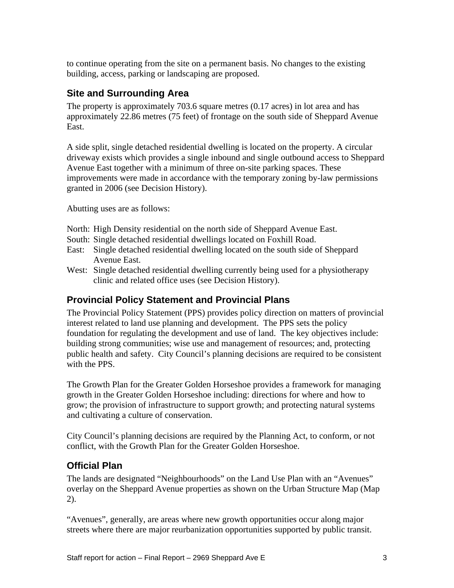to continue operating from the site on a permanent basis. No changes to the existing building, access, parking or landscaping are proposed.

## **Site and Surrounding Area**

The property is approximately 703.6 square metres (0.17 acres) in lot area and has approximately 22.86 metres (75 feet) of frontage on the south side of Sheppard Avenue East.

A side split, single detached residential dwelling is located on the property. A circular driveway exists which provides a single inbound and single outbound access to Sheppard Avenue East together with a minimum of three on-site parking spaces. These improvements were made in accordance with the temporary zoning by-law permissions granted in 2006 (see Decision History).

Abutting uses are as follows:

- North: High Density residential on the north side of Sheppard Avenue East.
- South: Single detached residential dwellings located on Foxhill Road.
- East: Single detached residential dwelling located on the south side of Sheppard Avenue East.
- West: Single detached residential dwelling currently being used for a physiotherapy clinic and related office uses (see Decision History).

#### **Provincial Policy Statement and Provincial Plans**

The Provincial Policy Statement (PPS) provides policy direction on matters of provincial interest related to land use planning and development. The PPS sets the policy foundation for regulating the development and use of land. The key objectives include: building strong communities; wise use and management of resources; and, protecting public health and safety. City Council's planning decisions are required to be consistent with the PPS.

The Growth Plan for the Greater Golden Horseshoe provides a framework for managing growth in the Greater Golden Horseshoe including: directions for where and how to grow; the provision of infrastructure to support growth; and protecting natural systems and cultivating a culture of conservation.

City Council's planning decisions are required by the Planning Act, to conform, or not conflict, with the Growth Plan for the Greater Golden Horseshoe.

#### **Official Plan**

The lands are designated "Neighbourhoods" on the Land Use Plan with an "Avenues" overlay on the Sheppard Avenue properties as shown on the Urban Structure Map (Map 2).

"Avenues", generally, are areas where new growth opportunities occur along major streets where there are major reurbanization opportunities supported by public transit.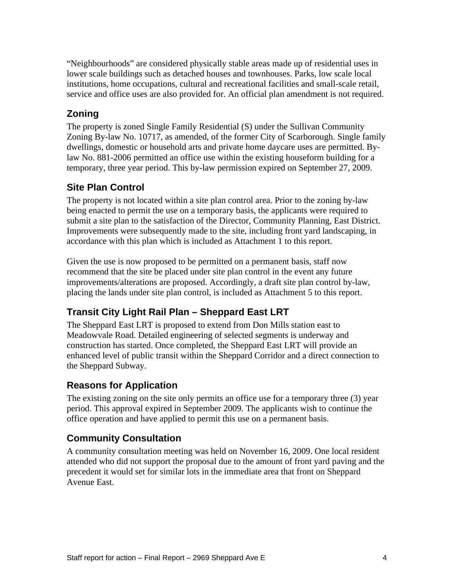"Neighbourhoods" are considered physically stable areas made up of residential uses in lower scale buildings such as detached houses and townhouses. Parks, low scale local institutions, home occupations, cultural and recreational facilities and small-scale retail, service and office uses are also provided for. An official plan amendment is not required.

# **Zoning**

The property is zoned Single Family Residential (S) under the Sullivan Community Zoning By-law No. 10717, as amended, of the former City of Scarborough. Single family dwellings, domestic or household arts and private home daycare uses are permitted. Bylaw No. 881-2006 permitted an office use within the existing houseform building for a temporary, three year period. This by-law permission expired on September 27, 2009.

# **Site Plan Control**

The property is not located within a site plan control area. Prior to the zoning by-law being enacted to permit the use on a temporary basis, the applicants were required to submit a site plan to the satisfaction of the Director, Community Planning, East District. Improvements were subsequently made to the site, including front yard landscaping, in accordance with this plan which is included as Attachment 1 to this report.

Given the use is now proposed to be permitted on a permanent basis, staff now recommend that the site be placed under site plan control in the event any future improvements/alterations are proposed. Accordingly, a draft site plan control by-law, placing the lands under site plan control, is included as Attachment 5 to this report.

# **Transit City Light Rail Plan – Sheppard East LRT**

The Sheppard East LRT is proposed to extend from Don Mills station east to Meadowvale Road. Detailed engineering of selected segments is underway and construction has started. Once completed, the Sheppard East LRT will provide an enhanced level of public transit within the Sheppard Corridor and a direct connection to the Sheppard Subway.

# **Reasons for Application**

The existing zoning on the site only permits an office use for a temporary three (3) year period. This approval expired in September 2009. The applicants wish to continue the office operation and have applied to permit this use on a permanent basis.

#### **Community Consultation**

A community consultation meeting was held on November 16, 2009. One local resident attended who did not support the proposal due to the amount of front yard paving and the precedent it would set for similar lots in the immediate area that front on Sheppard Avenue East.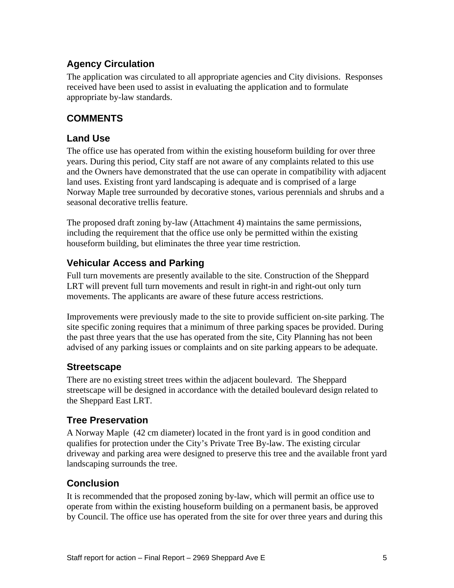# **Agency Circulation**

The application was circulated to all appropriate agencies and City divisions. Responses received have been used to assist in evaluating the application and to formulate appropriate by-law standards.

# **COMMENTS**

## **Land Use**

The office use has operated from within the existing houseform building for over three years. During this period, City staff are not aware of any complaints related to this use and the Owners have demonstrated that the use can operate in compatibility with adjacent land uses. Existing front yard landscaping is adequate and is comprised of a large Norway Maple tree surrounded by decorative stones, various perennials and shrubs and a seasonal decorative trellis feature.

The proposed draft zoning by-law (Attachment 4) maintains the same permissions, including the requirement that the office use only be permitted within the existing houseform building, but eliminates the three year time restriction.

## **Vehicular Access and Parking**

Full turn movements are presently available to the site. Construction of the Sheppard LRT will prevent full turn movements and result in right-in and right-out only turn movements. The applicants are aware of these future access restrictions.

Improvements were previously made to the site to provide sufficient on-site parking. The site specific zoning requires that a minimum of three parking spaces be provided. During the past three years that the use has operated from the site, City Planning has not been advised of any parking issues or complaints and on site parking appears to be adequate.

#### **Streetscape**

There are no existing street trees within the adjacent boulevard. The Sheppard streetscape will be designed in accordance with the detailed boulevard design related to the Sheppard East LRT.

#### **Tree Preservation**

A Norway Maple (42 cm diameter) located in the front yard is in good condition and qualifies for protection under the City's Private Tree By-law. The existing circular driveway and parking area were designed to preserve this tree and the available front yard landscaping surrounds the tree.

# **Conclusion**

It is recommended that the proposed zoning by-law, which will permit an office use to operate from within the existing houseform building on a permanent basis, be approved by Council. The office use has operated from the site for over three years and during this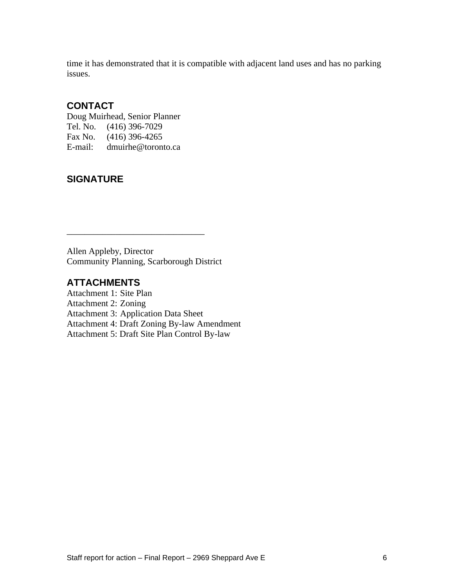time it has demonstrated that it is compatible with adjacent land uses and has no parking issues.

#### **CONTACT**

Doug Muirhead, Senior Planner Tel. No. (416) 396-7029 Fax No. (416) 396-4265 E-mail: dmuirhe@toronto.ca

## **SIGNATURE**

Allen Appleby, Director Community Planning, Scarborough District

#### **ATTACHMENTS**

Attachment 1: Site Plan Attachment 2: Zoning Attachment 3: Application Data Sheet Attachment 4: Draft Zoning By-law Amendment Attachment 5: Draft Site Plan Control By-law

 $\overline{\phantom{a}}$  , we can assume that the contract of  $\overline{\phantom{a}}$  , we can assume that the contract of  $\overline{\phantom{a}}$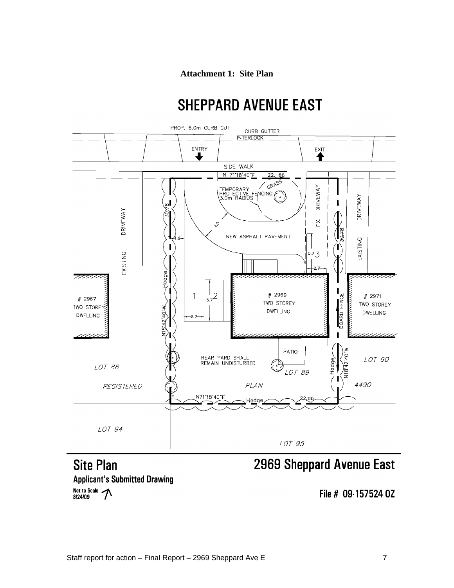#### **Attachment 1: Site Plan**

# **SHEPPARD AVENUE EAST**



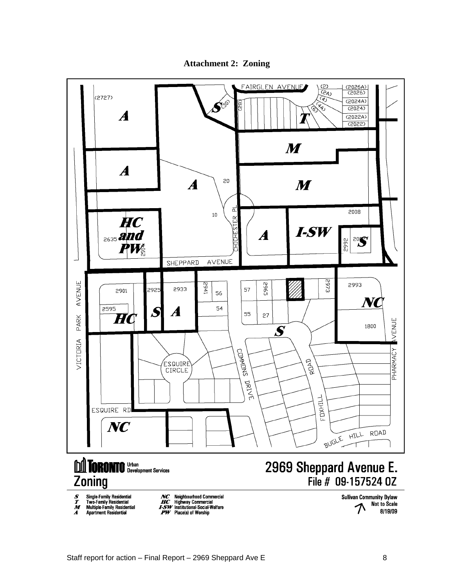

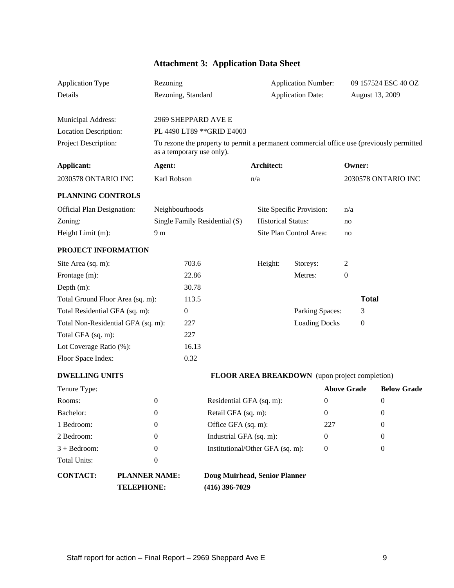| <b>Sheet</b><br><b>Attachment 3:</b><br>. .<br><b>Application Data</b> |  |
|------------------------------------------------------------------------|--|
|------------------------------------------------------------------------|--|

| Application Type                   | Rezoning                                                                                                              |                               | <b>Application Number:</b>                     |                      | 09 157524 ESC 40 OZ |
|------------------------------------|-----------------------------------------------------------------------------------------------------------------------|-------------------------------|------------------------------------------------|----------------------|---------------------|
| Details                            | Rezoning, Standard                                                                                                    |                               | <b>Application Date:</b>                       |                      | August 13, 2009     |
|                                    |                                                                                                                       |                               |                                                |                      |                     |
| Municipal Address:                 |                                                                                                                       | 2969 SHEPPARD AVE E           |                                                |                      |                     |
| Location Description:              |                                                                                                                       | PL 4490 LT89 ** GRID E4003    |                                                |                      |                     |
| Project Description:               | To rezone the property to permit a permanent commercial office use (previously permitted<br>as a temporary use only). |                               |                                                |                      |                     |
| <b>Applicant:</b>                  | Agent:                                                                                                                |                               | <b>Architect:</b>                              | Owner:               |                     |
| 2030578 ONTARIO INC                | Karl Robson                                                                                                           |                               | n/a                                            |                      | 2030578 ONTARIO INC |
| PLANNING CONTROLS                  |                                                                                                                       |                               |                                                |                      |                     |
|                                    |                                                                                                                       |                               |                                                |                      |                     |
| <b>Official Plan Designation:</b>  | Neighbourhoods                                                                                                        |                               | Site Specific Provision: n/a                   |                      |                     |
| Zoning:                            |                                                                                                                       | Single Family Residential (S) | <b>Historical Status:</b>                      | no                   |                     |
| Height Limit (m):                  | 9 m                                                                                                                   |                               | Site Plan Control Area:                        | no                   |                     |
| PROJECT INFORMATION                |                                                                                                                       |                               |                                                |                      |                     |
| Site Area (sq. m):                 |                                                                                                                       | 703.6                         | Height:<br>Storeys:                            |                      |                     |
| Frontage (m):                      |                                                                                                                       | 22.86                         | Metres:                                        | $\overline{0}$       |                     |
| Depth (m):                         |                                                                                                                       | 30.78                         |                                                |                      |                     |
| Total Ground Floor Area (sq. m):   |                                                                                                                       | 113.5                         |                                                |                      | <b>Total</b>        |
| Total Residential GFA (sq. m):     |                                                                                                                       | $\overline{0}$                |                                                | Parking Spaces:      |                     |
| Total Non-Residential GFA (sq. m): |                                                                                                                       | 227                           |                                                | <b>Loading Docks</b> |                     |
| Total GFA (sq. m):                 |                                                                                                                       | 227                           |                                                |                      |                     |
| Lot Coverage Ratio (%):            |                                                                                                                       | 16.13                         |                                                |                      |                     |
| Floor Space Index:                 |                                                                                                                       | 0.32                          |                                                |                      |                     |
| <b>DWELLING UNITS</b>              |                                                                                                                       |                               | FLOOR AREA BREAKDOWN (upon project completion) |                      |                     |
| Tenure Type:                       |                                                                                                                       |                               |                                                | <b>Above Grade</b>   | <b>Below Grade</b>  |
| Rooms:                             | $\Omega$                                                                                                              | Residential GFA (sq. m):      |                                                | $\overline{0}$       |                     |
| Bachelor:                          | $\overline{0}$                                                                                                        | Retail GFA (sq. m):           |                                                | $\overline{0}$       |                     |
| 1 Bedroom:                         |                                                                                                                       | Office GFA (sq. m):           |                                                | 227                  |                     |
| 2 Bedroom:                         | - 0                                                                                                                   | Industrial GFA (sq. m):       |                                                | $\overline{0}$       |                     |
| $3 + Bedroom:$                     |                                                                                                                       |                               | Institutional/Other GFA (sq. m):               | $\overline{0}$       |                     |
| Total Units:                       |                                                                                                                       |                               |                                                |                      |                     |
|                                    |                                                                                                                       |                               |                                                |                      |                     |

# **CONTACT: PLANNER NAME: Doug Muirhead, Senior Planner**

| $\gamma$ aff report for action – Final Report – 2969 Sheppard<br>.<br>iu Ave<br>— 1 |  |  |
|-------------------------------------------------------------------------------------|--|--|
|                                                                                     |  |  |

**TELEPHONE: (416) 396-7029**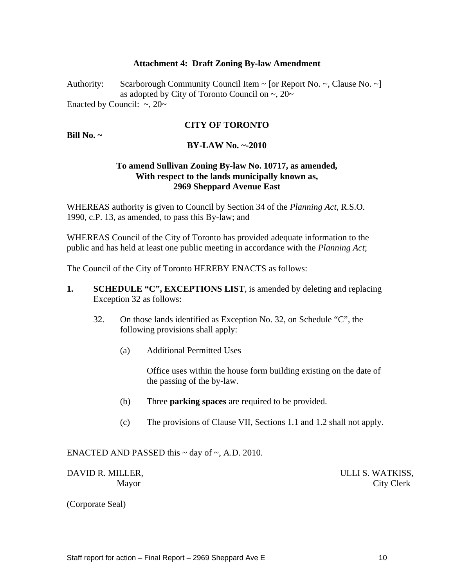#### **Attachment 4: Draft Zoning By-law Amendment**

Authority: Scarborough Community Council Item ~ [or Report No. ~, Clause No. ~] as adopted by City of Toronto Council on  $\sim$ , 20 $\sim$ Enacted by Council:  $\sim$ , 20 $\sim$ 

#### **CITY OF TORONTO**

**Bill No. ~**

#### **BY-LAW No. ~-2010**

#### **To amend Sullivan Zoning By-law No. 10717, as amended, With respect to the lands municipally known as, 2969 Sheppard Avenue East**

WHEREAS authority is given to Council by Section 34 of the *Planning Act*, R.S.O. 1990, c.P. 13, as amended, to pass this By-law; and

WHEREAS Council of the City of Toronto has provided adequate information to the public and has held at least one public meeting in accordance with the *Planning Act*;

The Council of the City of Toronto HEREBY ENACTS as follows:

- **1. SCHEDULE "C", EXCEPTIONS LIST**, is amended by deleting and replacing Exception 32 as follows:
	- 32. On those lands identified as Exception No. 32, on Schedule "C", the following provisions shall apply:
		- (a) Additional Permitted Uses

Office uses within the house form building existing on the date of the passing of the by-law.

- (b) Three **parking spaces** are required to be provided.
- (c) The provisions of Clause VII, Sections 1.1 and 1.2 shall not apply.

#### ENACTED AND PASSED this  $\sim$  day of  $\sim$ , A.D. 2010.

DAVID R. MILLER, SALLI S. WATKISS,

Mayor City Clerk

(Corporate Seal)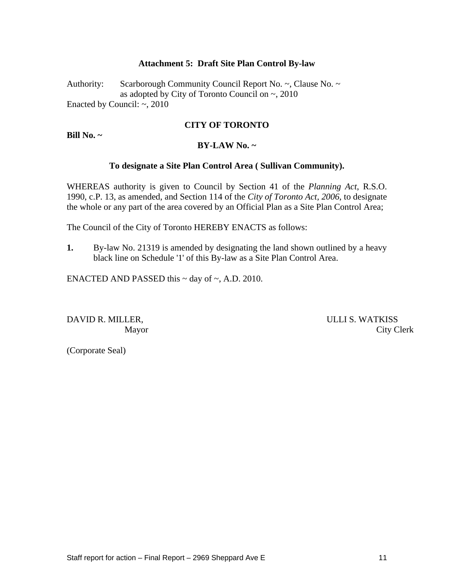#### **Attachment 5: Draft Site Plan Control By-law**

Authority: Scarborough Community Council Report No. ~, Clause No. ~ as adopted by City of Toronto Council on ~, 2010 Enacted by Council: ~, 2010

#### **CITY OF TORONTO**

**Bill No. ~**

#### **BY-LAW No. ~**

#### **To designate a Site Plan Control Area ( Sullivan Community).**

WHEREAS authority is given to Council by Section 41 of the *Planning Act*, R.S.O. 1990, c.P. 13, as amended, and Section 114 of the *City of Toronto Act, 2006*, to designate the whole or any part of the area covered by an Official Plan as a Site Plan Control Area;

The Council of the City of Toronto HEREBY ENACTS as follows:

**1.** By-law No. 21319 is amended by designating the land shown outlined by a heavy black line on Schedule '1' of this By-law as a Site Plan Control Area.

ENACTED AND PASSED this  $\sim$  day of  $\sim$ , A.D. 2010.

DAVID R. MILLER, SERVICE SERVICE SERVICE S. WATKISS Mayor City Clerk

(Corporate Seal)